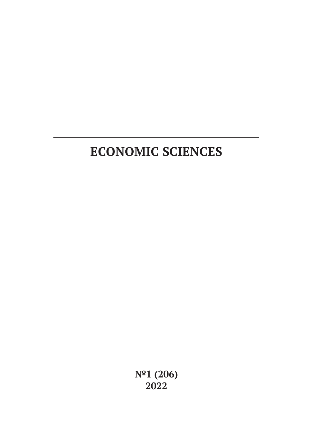# **ECONOMIC SCIENCES**

**№1 (206) 2022**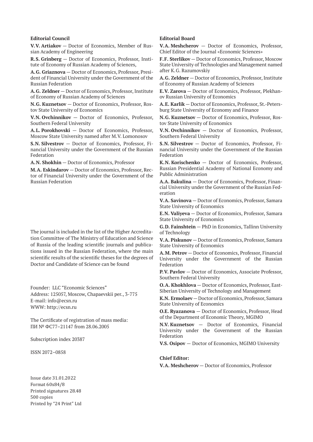#### **Editorial Council**

**V.V. Artiakov** — Doctor of Economics, Member of Russian Academy of Engineering

**R.S. Grinberg** — Doctor of Economics, Professor, Institute of Economy of Russian Academy of Sciences,

**A.G. Griaznova** — Doctor of Economics, Professor, President of Financial University under the Government of the Russian Federation

**A.G. Zeldner** — Doctor of Economics, Professor, Institute of Economy of Russian Academy of Sciences

**N.G. Kuznetsov** — Doctor of Economics, Professor, Rostov State University of Economics

**V.N. Ovchinnikov** — Doctor of Economics, Professor, Southern Federal University

**A.L. Porokhovski** — Doctor of Economics, Professor, Moscow State University named after M.V. Lomonosov

**S.N. Silvestrov** — Doctor of Economics, Professor, Financial University under the Government of the Russian Federation

**A.N. Shokhin** — Doctor of Economics, Professor

**M.A. Eskindarov** — Doctor of Economics, Professor, Rector of Financial University under the Government of the Russian Federation

The journal is included in the list of the Higher Accreditation Committee of The Ministry of Education and Science of Russia of the leading scientific journals and publications issued in the Russian Federation, where the main scientific results of the scientific theses for the degrees of Doctor and Candidate of Science can be found

Founder: LLC "Economic Sciences" Address: 125057, Moscow, Chapaevskii per., 3-775 E-mail: info@ecsn.ru WWW: http://ecsn.ru

The Certificate of registration of mass media: ПИ № ФС77–21147 from 28.06.2005

Subscription index 20387

ISSN 2072–0858

Issue date 31.01.2022 Format 60х84/8 Printed signatures 28.48 500 copies Printed by "24 Print" Ltd

#### **Editorial Board**

**V.A. Meshcherov** — Doctor of Economics, Professor, Chief Editor of the Journal «Economic Sciences»

**F.F. Sterlikov** — Doctor of Economics, Professor, Moscow State University of Technologies and Management named after K.G. Razumovskiy

**A.G. Zeldner** — Doctor of Economics, Professor, Institute of Economy of Russian Academy of Sciences

**E.V. Zarova** — Doctor of Economics, Professor, Plekhanov Russian University of Economics

**A.E. Karlik** — Doctor of Economics, Professor, St.-Petersburg State University of Economy and Finance

**N.G. Kuznetsov** — Doctor of Economics, Professor, Rostov State University of Economics

**V.N. Ovchinnikov** — Doctor of Economics, Professor, Southern Federal University

**S.N. Silvestrov** — Doctor of Economics, Professor, Financial University under the Government of the Russian Federation

**K.N. Korischenko** — Doctor of Economics, Professor, Russian Presidential Academy of National Economy and Public Administration

**A.A. Bakulina** — Doctor of Economics, Professor, Financial University under the Government of the Russian Federation

**V.A. Savinova** — Doctor of Economics, Professor, Samara State University of Economics

**E.N. Valiyeva** — Doctor of Economics, Professor, Samara State University of Economics

**G.D. Fainshtein** — PhD in Economics, Tallinn University of Technology

**V.A. Piskunov** — Doctor of Economics, Professor, Samara State University of Economics

**A.M. Petrov** — Doctor of Economics, Professor, Financial University under the Government of the Russian Federation

**P.V. Pavlov** — Doctor of Economics, Associate Professor, Southern Federal University

**O.A. Khokhlova** — Doctor of Economics, Professor, East-Siberian University of Technology and Management

**K.N. Ermolaev** — Doctor of Economics, Professor, Samara State University of Economics

**O.E. Ryazanova** — Doctor of Economics, Professor, Head of the Department of Economic Theory, MGIMO

**N.V. Kuznetsov** — Doctor of Economics, Financial University under the Government of the Russian Federation

**V.S. Osipov** — Doctor of Economics, MGIMO University

#### **Chief Editor:**

**V.A. Meshcherov** — Doctor of Economics, Professor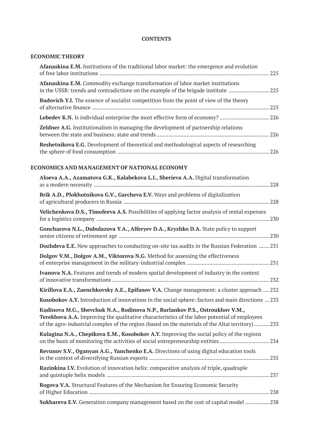### **CONTENTS**

### **ECONOMIC THEORY**

| Afanaskina E.M. Institutions of the traditional labor market: the emergence and evolution                                                                               | .225  |
|-------------------------------------------------------------------------------------------------------------------------------------------------------------------------|-------|
| <b>Afanaskina E.M.</b> Commodity exchange transformation of labor market institutions<br>in the USSR: trends and contradictions on the example of the brigade institute |       |
| <b>Budovich Y.I.</b> The essence of socialist competition from the point of view of the theory                                                                          | 225   |
|                                                                                                                                                                         |       |
| Zeldner A.G. Institutionalism in managing the development of partnership relations                                                                                      |       |
| <b>Reshetnikova E.G.</b> Development of theoretical and methodological aspects of researching                                                                           | . 226 |

# **ECONOMICS AND MANAGEMENT OF NATIONAL ECONOMY**

| Aloeva A.A., Azamatova G.K., Kalabekova L.I., Sherieva A.A. Digital transformation                                                                                                                                                                                                        |  |
|-------------------------------------------------------------------------------------------------------------------------------------------------------------------------------------------------------------------------------------------------------------------------------------------|--|
| Brik A.D., Plokhotnikova G.V., Garcheva E.V. Ways and problems of digitalization                                                                                                                                                                                                          |  |
| Velichenkova D.S., Timofeeva A.S. Possibilities of applying factor analysis of rental expenses                                                                                                                                                                                            |  |
| Goncharova N.L., Dubolazova Y.A., Alferyev D.A., Kryzhko D.A. State policy to support                                                                                                                                                                                                     |  |
| Dozhdeva E.E. New approaches to conducting on-site tax audits in the Russian Federation  231                                                                                                                                                                                              |  |
| Dolgov V.M., Dolgov A.M., Viktorova N.G. Method for assessing the effectiveness                                                                                                                                                                                                           |  |
| Ivanova N.A. Features and trends of modern spatial development of industry in the context                                                                                                                                                                                                 |  |
| Kirillova E.A., Zaenchkovsky A.E., Epifanov V.A. Change management: a cluster approach  232                                                                                                                                                                                               |  |
| Kosobokov A.Y. Introduction of innovations in the social sphere: factors and main directions  233                                                                                                                                                                                         |  |
| Kudinova M.G., Shevchuk N.A., Rodinova N.P., Burlankov P.S., Ostroukhov V.M.,<br><b>Terekhova A.A.</b> Improving the qualitative characteristics of the labor potential of employees<br>of the agro-industrial complex of the region (based on the materials of the Altai territory)  233 |  |
| Kulagina N.A., Chepikova E.M., Kosobokov A.Y. Improving the social policy of the regions<br>on the basis of monitoring the activities of social entrepreneurship entities234                                                                                                              |  |
| Revunov S.V., Oganyan A.G., Yanchenko E.A. Directions of using digital education tools                                                                                                                                                                                                    |  |
| Razinkina I.V. Evolution of innovation helix: comparative analysis of triple, quadruple                                                                                                                                                                                                   |  |
| Rogova V.A. Structural Features of the Mechanism for Ensuring Economic Security                                                                                                                                                                                                           |  |
| Sukhareva E.V. Generation company management based on the cost of capital model  238                                                                                                                                                                                                      |  |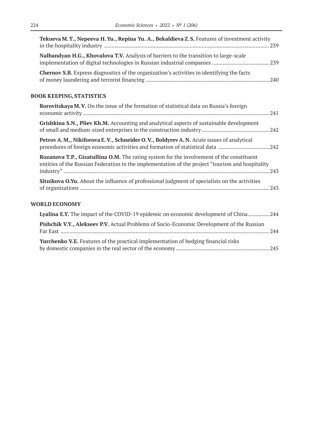| Tekueva M.T., Nepeeva H.Yu., Repina Yu. A., Bekaldieva Z.S. Features of investment activity                                                                                                  |  |
|----------------------------------------------------------------------------------------------------------------------------------------------------------------------------------------------|--|
| Nalbandyan H.G., Khovalova T.V. Analysis of barriers to the transition to large-scale                                                                                                        |  |
| <b>Chernov S.B.</b> Express diagnostics of the organization's activities in identifying the facts                                                                                            |  |
| <b>BOOK KEEPING, STATISTICS</b>                                                                                                                                                              |  |
| Borovitskaya M.V. On the issue of the formation of statistical data on Russia's foreign                                                                                                      |  |
| Grishkina S.N., Pliev Kh.M. Accounting and analytical aspects of sustainable development                                                                                                     |  |
| Petrov A.M., Nikiforova E.V., Schneider O.V., Boldyrev A.N. Acute issues of analytical<br>procedures of foreign economic activities and formation of statistical data 242                    |  |
| Rozanova T.P., Gizatullina O.M. The rating system for the involvement of the constituent<br>entities of the Russian Federation in the implementation of the project "tourism and hospitality |  |
| <b>Sitnikova O.Yu.</b> About the influence of professional judgment of specialists on the activities                                                                                         |  |
| <b>WORLD ECONOMY</b>                                                                                                                                                                         |  |
| Lyalina E.Y. The impact of the COVID-19 epidemic on economic development of China 244                                                                                                        |  |
| Pishchik V.Y., Alekseev P.V. Actual Problems of Socio-Economic Development of the Russian                                                                                                    |  |

| <b>Yurchenko V.E.</b> Features of the practical implementation of hedging financial risks |  |
|-------------------------------------------------------------------------------------------|--|
|                                                                                           |  |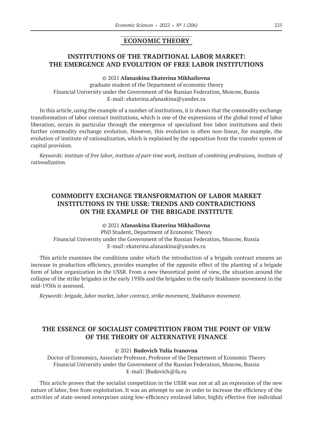### **ECONOMIC THEORY**

# **INSTITUTIONS OF THE TRADITIONAL LABOR MARKET: THE EMERGENCE AND EVOLUTION OF FREE LABOR INSTITUTIONS**

#### © 2021 **Afanaskina Ekaterina Mikhailovna**

graduate student of the Department of economic theory Financial University under the Government of the Russian Federation, Moscow, Russia E-mail: ekaterina.afanaskina@yandex.ru

In this article, using the example of a number of institutions, it is shown that the commodity exchange transformation of labor contract institutions, which is one of the expressions of the global trend of labor liberation, occurs in particular through the emergence of specialized free labor institutions and their further commodity exchange evolution. However, this evolution is often non-linear, for example, the evolution of institute of rationalization, which is explained by the opposition from the transfer system of capital provision.

*Keywords: institute of free labor, institute of part-time work, institute of combining professions, institute of rationalization.*

# **COMMODITY EXCHANGE TRANSFORMATION OF LABOR MARKET INSTITUTIONS IN THE USSR: TRENDS AND CONTRADICTIONS ON THE EXAMPLE OF THE BRIGADE INSTITUTE**

© 2021 **Afanaskina Ekaterina Mikhailovna**

PhD Student, Department of Economic Theory Financial University under the Government of the Russian Federation, Moscow, Russia E-mail: ekaterina.afanaskina@yandex.ru

This article examines the conditions under which the introduction of a brigade contract ensures an increase in production efficiency, provides examples of the opposite effect of the planting of a brigade form of labor organization in the USSR. From a new theoretical point of view, the situation around the collapse of the strike brigades in the early 1930s and the brigades in the early Stakhanov movement in the mid‑1930s is assessed.

*Keywords: brigade, labor market, labor contract, strike movement, Stakhanov movement.*

# **THE ESSENCE OF SOCIALIST COMPETITION FROM THE POINT OF VIEW OF THE THEORY OF ALTERNATIVE FINANCE**

#### © 2021 **Budovich Yulia Ivanovna**

Doctor of Economics, Associate Professor, Professor of the Department of Economic Theory Financial University under the Government of the Russian Federation, Moscow, Russia E-mail: JBudovich@fa.ru

This article proves that the socialist competition in the USSR was not at all an expression of the new nature of labor, free from exploitation. It was an attempt to use in order to increase the efficiency of the activities of state-owned enterprises using low-efficiency enslaved labor, highly effective free individual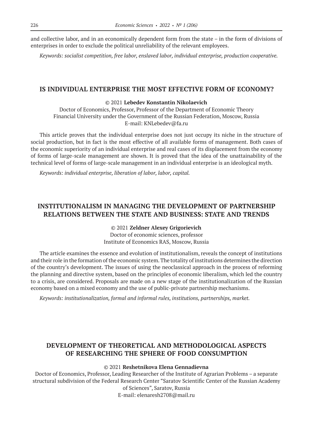and collective labor, and in an economically dependent form from the state – in the form of divisions of enterprises in order to exclude the political unreliability of the relevant employees.

*Keywords: socialist competition, free labor, enslaved labor, individual enterprise, production cooperative.*

### **IS INDIVIDUAL ENTERPRISE THE MOST EFFECTIVE FORM OF ECONOMY?**

### © 2021 **Lebedev Konstantin Nikolaevich**

Doctor of Economics, Professor, Professor of the Department of Economic Theory Financial University under the Government of the Russian Federation, Moscow, Russia E-mail: KNLebedev@fa.ru

This article proves that the individual enterprise does not just occupy its niche in the structure of social production, but in fact is the most effective of all available forms of management. Both cases of the economic superiority of an individual enterprise and real cases of its displacement from the economy of forms of large-scale management are shown. It is proved that the idea of the unattainability of the technical level of forms of large-scale management in an individual enterprise is an ideological myth.

*Keywords: individual enterprise, liberation of labor, labor, capital.*

# **INSTITUTIONALISM IN MANAGING THE DEVELOPMENT OF PARTNERSHIP RELATIONS BETWEEN THE STATE AND BUSINESS: STATE AND TRENDS**

© 2021 **Zeldner Alexey Grigorievich**

Doctor of economic sciences, professor Institute of Economics RAS, Moscow, Russia

The article examines the essence and evolution of institutionalism, reveals the concept of institutions and their role in the formation of the economic system. The totality of institutions determines the direction of the country's development. The issues of using the neoclassical approach in the process of reforming the planning and directive system, based on the principles of economic liberalism, which led the country to a crisis, are considered. Proposals are made on a new stage of the institutionalization of the Russian economy based on a mixed economy and the use of public-private partnership mechanisms.

*Keywords: institutionalization, formal and informal rules, institutions, partnerships, market.*

# **DEVELOPMENT OF THEORETICAL AND METHODOLOGICAL ASPECTS OF RESEARCHING THE SPHERE OF FOOD CONSUMPTION**

#### © 2021 **Reshetnikova Elena Gennadievna**

Doctor of Economics, Professor, Leading Researcher of the Institute of Agrarian Problems – a separate structural subdivision of the Federal Research Center "Saratov Scientific Center of the Russian Academy of Sciences", Saratov, Russia E-mail: elenaresh2708@mail.ru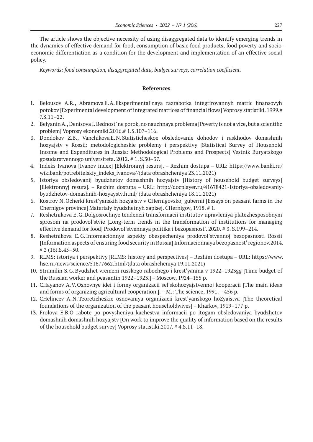The article shows the objective necessity of using disaggregated data to identify emerging trends in the dynamics of effective demand for food, consumption of basic food products, food poverty and socioeconomic differentiation as a condition for the development and implementation of an effective social policy.

*Keywords: food consumption, disaggregated data, budget surveys, correlation coefficient.*

- 1. Belousov A.R., Abramova E.A.Eksperimental'naya razrabotka integrirovannyh matric finansovyh potokov [Experimental development of integrated matrices of financial flows] Voprosy statistiki. 1999.# 7.S.11–22.
- 2. Belyanin A., Denisova I.Bednost' ne porok, no nauchnaya problema [Poverty is not a vice, but a scientific problem] Voprosy ekonomiki.2016.# 1.S.107–116.
- 3. Dondokov Z.B., Vanchikova E.N.Statisticheskoe obsledovanie dohodov i raskhodov domashnih hozyajstv v Rossii: metodologicheskie problemy i perspektivy [Statistical Survey of Household Income and Expenditures in Russia: Methodological Problems and Prospects] Vestnik Buryatskogo gosudarstvennogo universiteta. 2012. # 1. S.30–37.
- 4. Indeks Ivanova [Ivanov index] [Elektronnyj resurs]. Rezhim dostupa URL: https://www.banki.ru/ wikibank/potrebitelskiy indeks ivanova//(data obrashcheniya 23.11.2021)
- 5. Istoriya obsledovanij byudzhetov domashnih hozyajstv [History of household budget surveys] [Elektronnyj resurs]. – Rezhim dostupa – URL: http://docplayer.ru/41678421-Istoriya-obsledovaniybyudzhetov-domashnih-hozyaystv.html/ (data obrashcheniya 18.11.2021)
- 6. Kostrov N.Ocherki krest'yanskih hozyajstv v CHernigovskoj gubernii [Essays on peasant farms in the Chernigov province] Materialy byudzhetnyh zapisej. CHernigov, 1918. # 1.
- 7. Reshetnikova E.G.Dolgosrochnye tendencii transformacii institutov upravleniya platezhesposobnym sprosom na prodovol'stvie [Long-term trends in the transformation of institutions for managing effective demand for food] Prodovol'stvennaya politika i bezopasnost'. 2020. # 3. S.199–214.
- 8. Reshetnikova E.G.Informacionnye aspekty obespecheniya prodovol'stvennoj bezopasnosti Rossii [Information aspects of ensuring food security in Russia] Informacionnaya bezopasnost' regionov.2014. # 3 (16).S.45–50.
- 9. RLMS: istoriya i perspektivy [RLMS: history and perspectives] Rezhim dostupa URL: https://www. hse.ru/news/science/51677662.html/(data obrashcheniya 19.11.2021)
- 10. Strumilin S.G.Byudzhet vremeni russkogo rabochego i krest'yanina v 1922–1923gg [Time budget of the Russian worker and peasantin 1922–1923.] – Moscow, 1924–155 p.
- 11. CHayanov A.V.Osnovnye idei i formy organizacii sel'skohozyajstvennoj kooperacii [The main ideas and forms of organizing agricultural cooperation.]. – M.: The science, 1991. – 456 p.
- 12. CHelincev A.N.Teoreticheskie osnovaniya organizacii krest'yanskogo hoZyajstva [The theoretical foundations of the organization of the peasant householdwives] – Kharkov, 1919–177 p.
- 13. Frolova E.B.O rabote po povysheniyu kachestva informacii po itogam obsledovaniya byudzhetov domashnih domashnih hozyajstv [On work to improve the quality of information based on the results of the household budget survey] Voprosy statistiki.2007. # 4.S.11–18.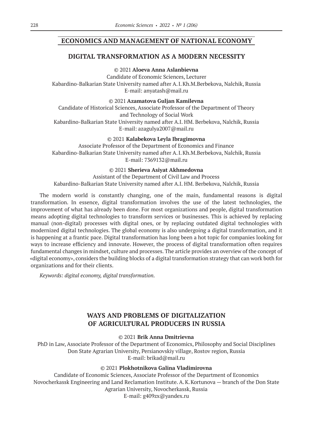### **ECONOMICS AND MANAGEMENT OF NATIONAL ECONOMY**

### **DIGITAL TRANSFORMATION AS A MODERN NECESSITY**

© 2021 **Aloeva Anna Aslanbievna**

Candidate of Economic Sciences, Lecturer Kabardino-Balkarian State University named after A.I.Kh.M.Berbekova, Nalchik, Russia E-mail: anyatash@mail.ru

© 2021 **Azamatova Guljan Kamilevna**

Candidate of Historical Sciences, Associate Professor of the Department of Theory and Technology of Social Work Kabardino-Balkarian State University named after A.I. HM. Berbekova, Nalchik, Russia E-mail: azagulya2007@mail.ru

© 2021 **Kalabekova Leyla Ibragimovna**

Associate Professor of the Department of Economics and Finance Kabardino-Balkarian State University named after A.I.Kh.M.Berbekova, Nalchik, Russia E-mail: 7369132@mail.ru

© 2021 **Sherieva Asiyat Akhmedovna**

Assistant of the Department of Civil Law and Process Kabardino-Balkarian State University named after A.I. HM. Berbekova, Nalchik, Russia

The modern world is constantly changing, one of the main, fundamental reasons is digital transformation. In essence, digital transformation involves the use of the latest technologies, the improvement of what has already been done. For most organizations and people, digital transformation means adopting digital technologies to transform services or businesses. This is achieved by replacing manual (non-digital) processes with digital ones, or by replacing outdated digital technologies with modernized digital technologies. The global economy is also undergoing a digital transformation, and it is happening at a frantic pace. Digital transformation has long been a hot topic for companies looking for ways to increase efficiency and innovate. However, the process of digital transformation often requires fundamental changes in mindset, culture and processes. The article provides an overview of the concept of «digital economy», considers the building blocks of a digital transformation strategy that can work both for organizations and for their clients.

*Keywords: digital economy, digital transformation.*

### **WAYS AND PROBLEMS OF DIGITALIZATION OF AGRICULTURAL PRODUCERS IN RUSSIA**

© 2021 **Brik Anna Dmitrievna**

PhD in Law, Associate Professor of the Department of Economics, Philosophy and Social Disciplines Don State Agrarian University, Persianovskiy village, Rostov region, Russia E-mail: brikad@mail.ru

© 2021 **Plokhotnikova Galina Vladimirovna**

Candidate of Economic Sciences, Associate Professor of the Department of Economics Novocherkassk Engineering and Land Reclamation Institute. A.K.Kortunova — branch of the Don State Agrarian University, Novocherkassk, Russia E-mail: g409zx@yandex.ru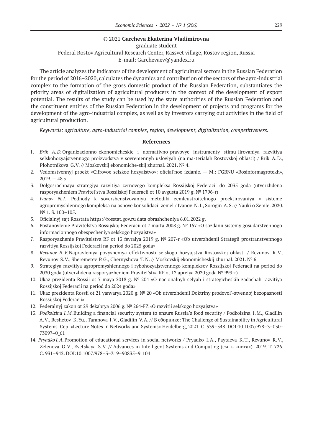#### © 2021 **Garcheva Ekaterina Vladimirovna**

graduate student

Federal Rostov Agricultural Research Center, Rassvet village, Rostov region, Russia E-mail: Garchevaev@yandex.ru

The article analyzes the indicators of the development of agricultural sectors in the Russian Federation for the period of 2016–2020, calculates the dynamics and contribution of the sectors of the agro-industrial complex to the formation of the gross domestic product of the Russian Federation, substantiates the priority areas of digitalization of agricultural producers in the context of the development of export potential. The results of the study can be used by the state authorities of the Russian Federation and the constituent entities of the Russian Federation in the development of projects and programs for the development of the agro-industrial complex, as well as by investors carrying out activities in the field of agricultural production.

*Keywords: agriculture, agro-industrial complex, region, development, digitalization, competitiveness.*

- 1. *Brik A.D.*Organizacionno-ekonomicheskie i normativno-pravovye instrumenty stimu-lirovaniya razvitiya selskohozyajstvennogo proizvodstva v sovremennyh usloviyah (na ma-terialah Rostovskoj oblasti) / Brik A.D., Plohotnikova G.V. // Moskovskij ekonomiche-skij zhurnal. 2021. № 4.
- 2. Vedomstvennyj proekt «Cifrovoe selskoe hozyajstvo»: oficial'noe izdanie. M.: FGBNU «Rosinformagrotekh»,  $2019. - 48 s$
- 3. Dolgosrochnaya strategiya razvitiya zernovogo kompleksa Rossijskoj Federacii do 2035 goda (utverzhdena rasporyazheniem Pravitel'stva Rossijskoj Federacii ot 10 avgusta 2019 g. № 1796‑r)
- 4. *Ivanov N.I.* Podhody k sovershenstvovaniyu metodiki zemleustroitelnogo proektirovaniya v sisteme agropromyshlennogo kompleksa na osnove konsolidacii zemel / Ivanov N.I., Sorogin A.S. // Nauki o Zemle. 2020. N<sup>o</sup> 1. S. 100-105.
- 5. Oficialnyj sajt Rosstata https://rosstat.gov.ru data obrashcheniya 6.01.2022 g.
- 6. Postanovlenie Pravitelstva Rossijskoj Federacii ot 7 marta 2008 g. № 157 «O sozdanii sistemy gosudarstvennogo informacionnogo obespecheniya selskogo hozyajstva»
- 7. Rasporyazhenie Pravitelstva RF ot 13 fevralya 2019 g. № 207‑r «Ob utverzhdenii Strategii prostranstvennogo razvitiya Rossijskoj Federacii na period do 2025 goda»
- 8. *Revunov R.V.*Napravleniya povysheniya effektivnosti selskogo hozyajstva Rostovskoj oblasti / Revunov R.V., Revunov S.V., Sheremetev P.G., Chernyshova T.N. // Moskovskij ekonomicheskij zhurnal. 2021. № 6.
- 9. Strategiya razvitiya agropromyshlennogo i rybohozyajstvennogo kompleksov Rossijskoj Federacii na period do 2030 goda (utverzhdena rasporyazheniem Pravitel'stva RF ot 12 aprelya 2020 goda № 993‑r)
- 10. Ukaz prezidenta Rossii ot 7 maya 2018 g. № 204 «O nacionalnyh celyah i strategicheskih zadachah razvitiya Rossijskoj Federacii na period do 2024 goda»
- 11. Ukaz prezidenta Rossii ot 21 yanvarya 2020 g. № 20 «Ob utverzhdenii Doktriny prodovol'-stvennoj bezopasnosti Rossijskoj Federacii»
- 12. Federalnyj zakon ot 29 dekabrya 2006 g. № 264-FZ «O razvitii selskogo hozyajstva»
- 13. *Podkolzina I.M.*Building a financial security system to ensure Russia's food security / Podkolzina I.M., Gladilin A.V., Reshetov K.Yu., Taranova I.V., Gladilin V.A. // В сборнике: The Challenge of Sustainability in Agricultural Systems. Сер. «Lecture Notes in Networks and Systems» Heidelberg, 2021. С. 539–548. DOI:10.1007/978–3–030– 73097–0\_61
- 14. *Pryadko I.A.*Promotion of educational services in social networks / Pryadko I.A., Paytaeva K.T., Revunov R.V., Zelenova G.V., Evetskaya S.V. // Advances in Intelligent Systems and Computing (см. в книгах). 2019. Т. 726. С. 931–942. DOI:10.1007/978–3–319–90835–9\_104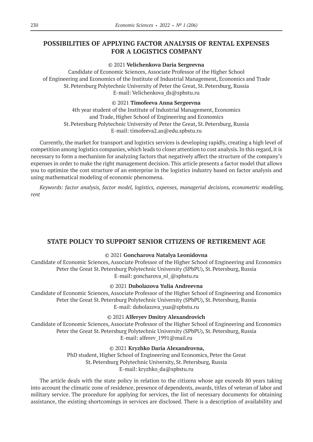# **POSSIBILITIES OF APPLYING FACTOR ANALYSIS OF RENTAL EXPENSES FOR A LOGISTICS COMPANY**

### © 2021 **Velichenkova Daria Sergeevna**

Candidate of Economic Sciences, Associate Professor of the Higher School of Engineering and Economics of the Institute of Industrial Management, Economics and Trade St.Petersburg Polytechnic University of Peter the Great, St.Petersburg, Russia E-mail: Velichenkova\_ds@spbstu.ru

### © 2021 **Timofeeva Anna Sergeevna**

4th year student of the Institute of Industrial Management, Economics and Trade, Higher School of Engineering and Economics St.Petersburg Polytechnic University of Peter the Great, St.Petersburg, Russia E-mail: timofeeva2.as@edu.spbstu.ru

Currently, the market for transport and logistics services is developing rapidly, creating a high level of competition among logistics companies, which leads to closer attention to cost analysis. In this regard, it is necessary to form a mechanism for analyzing factors that negatively affect the structure of the company's expenses in order to make the right management decision. This article presents a factor model that allows you to optimize the cost structure of an enterprise in the logistics industry based on factor analysis and using mathematical modeling of economic phenomena.

*Keywords: factor analysis, factor model, logistics, expenses, managerial decisions, econometric modeling, rent*

# **STATE POLICY TO SUPPORT SENIOR CITIZENS OF RETIREMENT AGE**

### © 2021 **Goncharova Natalya Leonidovna**

Candidate of Economic Sciences, Associate Professor of the Higher School of Engineering and Economics Peter the Great St. Petersburg Polytechnic University (SPbPU), St. Petersburg, Russia E-mail: goncharova\_nl\_@spbstu.ru

### © 2021 **Dubolazova Yulia Andreevna**

Candidate of Economic Sciences, Associate Professor of the Higher School of Engineering and Economics Peter the Great St. Petersburg Polytechnic University (SPbPU), St. Petersburg, Russia E-mail: dubolazova\_yua@spbstu.ru

#### © 2021 **Alferyev Dmitry Alexandrovich**

Candidate of Economic Sciences, Associate Professor of the Higher School of Engineering and Economics Peter the Great St. Petersburg Polytechnic University (SPbPU), St. Petersburg, Russia E-mail: alferev\_1991@mail.ru

### © 2021 **Kryzhko Daria Alexandrovna,**

PhD student, Higher School of Engineering and Economics, Peter the Great St.Petersburg Polytechnic University, St.Petersburg, Russia E-mail: kryzhko\_da@spbstu.ru

The article deals with the state policy in relation to the citizens whose age exceeds 80 years taking into account the climatic zone of residence, presence of dependents, awards, titles of veteran of labor and military service. The procedure for applying for services, the list of necessary documents for obtaining assistance, the existing shortcomings in services are disclosed. There is a description of availability and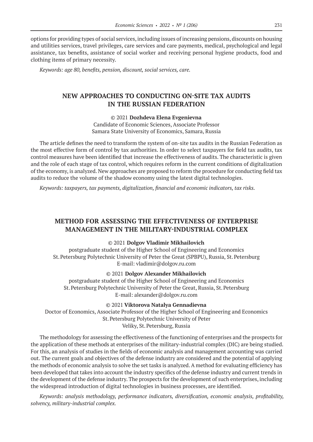options for providing types of social services, including issues of increasing pensions, discounts on housing and utilities services, travel privileges, care services and care payments, medical, psychological and legal assistance, tax benefits, assistance of social worker and receiving personal hygiene products, food and clothing items of primary necessity.

*Keywords: age 80, benefits, pension, discount, social services, care.*

# **NEW APPROACHES TO CONDUCTING ON-SITE TAX AUDITS IN THE RUSSIAN FEDERATION**

© 2021 **Dozhdeva Elena Evgenievna**

Candidate of Economic Sciences, Associate Professor Samara State University of Economics, Samara, Russia

The article defines the need to transform the system of on-site tax audits in the Russian Federation as the most effective form of control by tax authorities. In order to select taxpayers for field tax audits, tax control measures have been identified that increase the effectiveness of audits. The characteristic is given and the role of each stage of tax control, which requires reform in the current conditions of digitalization of the economy, is analyzed. New approaches are proposed to reform the procedure for conducting field tax audits to reduce the volume of the shadow economy using the latest digital technologies.

*Keywords: taxpayers, tax payments, digitalization, financial and economic indicators, tax risks.*

# **METHOD FOR ASSESSING THE EFFECTIVENESS OF ENTERPRISE MANAGEMENT IN THE MILITARY-INDUSTRIAL COMPLEX**

#### © 2021 **Dolgov Vladimir Mikhailovich**

postgraduate student of the Higher School of Engineering and Economics St.Petersburg Polytechnic University of Peter the Great (SPBPU), Russia, St.Petersburg E-mail: vladimir@dolgov.ru.com

#### © 2021 **Dolgov Alexander Mikhailovich**

postgraduate student of the Higher School of Engineering and Economics St.Petersburg Polytechnic University of Peter the Great, Russia, St.Petersburg E-mail: alexander@dolgov.ru.com

© 2021 **Viktorova Natalya Gennadievna**

Doctor of Economics, Associate Professor of the Higher School of Engineering and Economics St.Petersburg Polytechnic University of Peter Veliky, St.Petersburg, Russia

The methodology for assessing the effectiveness of the functioning of enterprises and the prospects for the application of these methods at enterprises of the military-industrial complex (DIC) are being studied. For this, an analysis of studies in the fields of economic analysis and management accounting was carried out. The current goals and objectives of the defense industry are considered and the potential of applying the methods of economic analysis to solve the set tasks is analyzed. A method for evaluating efficiency has been developed that takes into account the industry specifics of the defense industry and current trends in the development of the defense industry. The prospects for the development of such enterprises, including the widespread introduction of digital technologies in business processes, are identified.

*Keywords: analysis methodology, performance indicators, diversification, economic analysis, profitability, solvency, military-industrial complex.*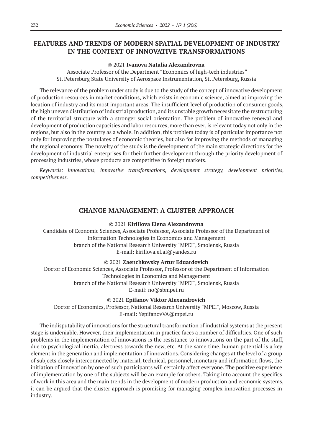# **FEATURES AND TRENDS OF MODERN SPATIAL DEVELOPMENT OF INDUSTRY IN THE CONTEXT OF INNOVATIVE TRANSFORMATIONS**

### © 2021 **Ivanova Natalia Alexandrovna**

Associate Professor of the Department "Economics of high-tech industries" St. Petersburg State University of Aerospace Instrumentation, St. Petersburg, Russia

The relevance of the problem under study is due to the study of the concept of innovative development of production resources in market conditions, which exists in economic science, aimed at improving the location of industry and its most important areas. The insufficient level of production of consumer goods, the high uneven distribution of industrial production, and its unstable growth necessitate the restructuring of the territorial structure with a stronger social orientation. The problem of innovative renewal and development of production capacities and labor resources, more than ever, is relevant today not only in the regions, but also in the country as a whole. In addition, this problem today is of particular importance not only for improving the postulates of economic theories, but also for improving the methods of managing the regional economy. The novelty of the study is the development of the main strategic directions for the development of industrial enterprises for their further development through the priority development of processing industries, whose products are competitive in foreign markets.

*Keywords: innovations, innovative transformations, development strategy, development priorities, competitiveness.*

### **CHANGE MANAGEMENT: A CLUSTER APPROACH**

© 2021 **Kirillova Elena Alexandrovna**

Candidate of Economic Sciences, Associate Professor, Associate Professor of the Department of Information Technologies in Economics and Management branch of the National Research University "MPEI", Smolensk, Russia E-mail: kirillova.el.al@yandex.ru

© 2021 **Zaenchkovsky Artur Eduardovich**

Doctor of Economic Sciences, Associate Professor, Professor of the Department of Information Technologies in Economics and Management branch of the National Research University "MPEI", Smolensk, Russia E-mail: no@sbmpei.ru

### © 2021 **Epifanov Viktor Alexandrovich**

Doctor of Economics, Professor, National Research University "MPEI", Moscow, Russia E-mail: YepifanovVA@mpei.ru

The indisputability of innovations for the structural transformation of industrial systems at the present stage is undeniable. However, their implementation in practice faces a number of difficulties. One of such problems in the implementation of innovations is the resistance to innovations on the part of the staff, due to psychological inertia, alertness towards the new, etc. At the same time, human potential is a key element in the generation and implementation of innovations. Considering changes at the level of a group of subjects closely interconnected by material, technical, personnel, monetary and information flows, the initiation of innovation by one of such participants will certainly affect everyone. The positive experience of implementation by one of the subjects will be an example for others. Taking into account the specifics of work in this area and the main trends in the development of modern production and economic systems, it can be argued that the cluster approach is promising for managing complex innovation processes in industry.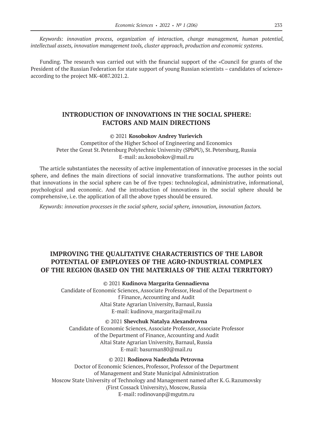*Keywords: innovation process, organization of interaction, change management, human potential, intellectual assets, innovation management tools, cluster approach, production and economic systems.*

Funding. The research was carried out with the financial support of the «Council for grants of the President of the Russian Federation for state support of young Russian scientists – candidates of science» according to the project MK-4087.2021.2.

# **INTRODUCTION OF INNOVATIONS IN THE SOCIAL SPHERE: FACTORS AND MAIN DIRECTIONS**

#### © 2021 **Kosobokov Andrey Yurievich**

Competitor of the Higher School of Engineering and Economics Peter the Great St. Petersburg Polytechnic University (SPbPU), St. Petersburg, Russia E-mail: au.kosobokov@mail.ru

The article substantiates the necessity of active implementation of innovative processes in the social sphere, and defines the main directions of social innovative transformations. The author points out that innovations in the social sphere can be of five types: technological, administrative, informational, psychological and economic. And the introduction of innovations in the social sphere should be comprehensive, i.e. the application of all the above types should be ensured.

*Keywords: innovation processes in the social sphere, social sphere, innovation, innovation factors.*

# **IMPROVING THE QUALITATIVE CHARACTERISTICS OF THE LABOR POTENTIAL OF EMPLOYEES OF THE AGRO-INDUSTRIAL COMPLEX OF THE REGION (BASED ON THE MATERIALS OF THE АLTAI TERRITORY)**

### © 2021 **Kudinova Margarita Gennadievna**

Candidate of Economic Sciences, Associate Professor, Head of the Department o f Finance, Accounting and Audit Altai State Agrarian University, Barnaul, Russia E-mail: kudinova\_margarita@mail.ru

© 2021 **Shevchuk Natalya Alexandrovna** Candidate of Economic Sciences, Associate Professor, Associate Professor of the Department of Finance, Accounting and Audit Altai State Agrarian University, Barnaul, Russia E-mail: basurman80@mail.ru

© 2021 **Rodinova Nadezhda Petrovna** Doctor of Economic Sciences, Professor, Professor of the Department of Management and State Municipal Administration Moscow State University of Technology and Management named after K.G.Razumovsky (First Cossack University), Moscow, Russia E-mail: rodinovanp@mgutm.ru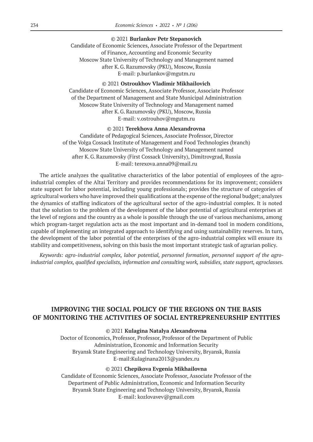#### © 2021 **Burlankov Petr Stepanovich**

Candidate of Economic Sciences, Associate Professor of the Department of Finance, Accounting and Economic Security Moscow State University of Technology and Management named after K.G.Razumovsky (PKU), Moscow, Russia E-mail: p.burlankov@mgutm.ru

#### © 2021 **Ostroukhov Vladimir Mikhailovich**

Candidate of Economic Sciences, Associate Professor, Associate Professor of the Department of Management and State Municipal Administration Moscow State University of Technology and Management named after K.G.Razumovsky (PKU), Moscow, Russia E-mail: v.ostrouhov@mgutm.ru

#### © 2021 **Terekhova Anna Alexandrovna**

Candidate of Pedagogical Sciences, Associate Professor, Director of the Volga Cossack Institute of Management and Food Technologies (branch) Moscow State University of Technology and Management named after K.G.Razumovsky (First Cossack University), Dimitrovgrad, Russia E-mail: terexova.anna09@mail.ru

The article analyzes the qualitative characteristics of the labor potential of employees of the agroindustrial complex of the Altai Territory and provides recommendations for its improvement; considers state support for labor potential, including young professionals; provides the structure of categories of agricultural workers who have improved their qualifications at the expense of the regional budget; analyzes the dynamics of staffing indicators of the agricultural sector of the agro-industrial complex. It is noted that the solution to the problem of the development of the labor potential of agricultural enterprises at the level of regions and the country as a whole is possible through the use of various mechanisms, among which program-target regulation acts as the most important and in-demand tool in modern conditions, capable of implementing an integrated approach to identifying and using sustainability reserves. In turn, the development of the labor potential of the enterprises of the agro-industrial complex will ensure its stability and competitiveness, solving on this basis the most important strategic task of agrarian policy.

*Keywords: agro-industrial complex, labor potential, personnel formation, personnel support of the agroindustrial complex, qualified specialists, information and consulting work, subsidies, state support, agroclasses.*

# **IMPROVING THE SOCIAL POLICY OF THE REGIONS ON THE BASIS OF MONITORING THE ACTIVITIES OF SOCIAL ENTREPRENEURSHIP ENTITIES**

#### © 2021 **Kulagina Natalya Alexandrovna**

Doctor of Economics, Professor, Professor, Professor of the Department of Public Administration, Economic and Information Security Bryansk State Engineering and Technology University, Bryansk, Russia E-mail:Kulaginana2013@yandex.ru

#### © 2021 **Chepikova Evgenia Mikhailovna**

Candidate of Economic Sciences, Associate Professor, Associate Professor of the Department of Public Administration, Economic and Information Security Bryansk State Engineering and Technology University, Bryansk, Russia E-mail: kozlovavev@gmail.com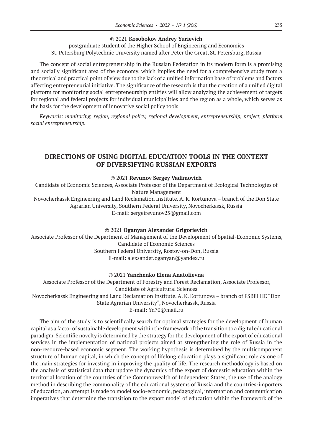### © 2021 **Kosobokov Andrey Yurievich**

postgraduate student of the Higher School of Engineering and Economics St. Petersburg Polytechnic University named after Peter the Great, St. Petersburg, Russia

The concept of social entrepreneurship in the Russian Federation in its modern form is a promising and socially significant area of the economy, which implies the need for a comprehensive study from a theoretical and practical point of view due to the lack of a unified information base of problems and factors affecting entrepreneurial initiative. The significance of the research is that the creation of a unified digital platform for monitoring social entrepreneurship entities will allow analyzing the achievement of targets for regional and federal projects for individual municipalities and the region as a whole, which serves as the basis for the development of innovative social policy tools

*Keywords: monitoring, region, regional policy, regional development, entrepreneurship, project, platform, social entrepreneurship.*

# **DIRECTIONS OF USING DIGITAL EDUCATION TOOLS IN THE CONTEXT OF DIVERSIFYING RUSSIAN EXPORTS**

© 2021 **Revunov Sergey Vadimovich**

Candidate of Economic Sciences, Associate Professor of the Department of Ecological Technologies of Nature Management

Novocherkassk Engineering and Land Reclamation Institute. A. K. Kortunova – branch of the Don State Agrarian University, Southern Federal University, Novocherkassk, Russia E-mail: sergeirevunov25@gmail.com

#### © 2021 **Oganyan Alexander Grigorievich**

Associate Professor of the Department of Management of the Development of Spatial-Economic Systems, Candidate of Economic Sciences Southern Federal University, Rostov-on-Don, Russia E-mail: alexsander.oganyan@yandex.ru

### © 2021 **Yanchenko Elena Anatolievna**

Associate Professor of the Department of Forestry and Forest Reclamation, Associate Professor, Candidate of Agricultural Sciences Novocherkassk Engineering and Land Reclamation Institute. A. K. Kortunova – branch of FSBEI HE "Don State Agrarian University", Novocherkassk, Russia E-mail: Yn70@mail.ru

The aim of the study is to scientifically search for optimal strategies for the development of human capital as a factor of sustainable development within the framework of the transition to a digital educational paradigm. Scientific novelty is determined by the strategy for the development of the export of educational services in the implementation of national projects aimed at strengthening the role of Russia in the non-resource-based economic segment. The working hypothesis is determined by the multicomponent structure of human capital, in which the concept of lifelong education plays a significant role as one of the main strategies for investing in improving the quality of life. The research methodology is based on the analysis of statistical data that update the dynamics of the export of domestic education within the territorial location of the countries of the Commonwealth of Independent States, the use of the analogy method in describing the commonality of the educational systems of Russia and the countries-importers of education, an attempt is made to model socio-economic, pedagogical, information and communication imperatives that determine the transition to the export model of education within the framework of the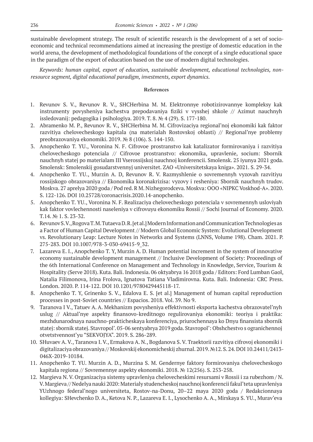sustainable development strategy. The result of scientific research is the development of a set of socioeconomic and technical recommendations aimed at increasing the prestige of domestic education in the world arena, the development of methodological foundations of the concept of a single educational space in the paradigm of the export of education based on the use of modern digital technologies.

*Keywords: human capital, export of education, sustainable development, educational technologies, nonresource segment, digital educational paradigm, investments, export dynamics.*

- 1. Revunov S. V., Revunov R. V., SHCHerbina M. M. Elektronnye robotizirovannye kompleksy kak instrumenty povysheniya kachestva prepodavaniya fiziki v vysshej shkole // Azimut nauchnyh issledovanij: pedagogika i psihologiya. 2019. T. 8. № 4 (29). S. 177-180.
- 2. Abramenko M. P., Revunov R. V., SHCHerbina M. M. Cifrovizaciya regional'noj ekonomiki kak faktor razvitiya chelovecheskogo kapitala (na materialah Rostovskoj oblasti) // Regional'nye problemy preobrazovaniya ekonomiki. 2019. № 8 (106). S. 144-150.
- 3. Anopchenko T. YU., Voronina N. F. Cifrovoe prostranstvo kak katalizator formirovaniya i razvitiya chelovecheskogo potenciala // Cifrovoe prostranstvo: ekonomika, upravlenie, socium: Sbornik nauchnyh statej po materialam III Vserossijskoj nauchnoj konferencii. Smolensk. 25 iyunya 2021 goda. Smolensk: Smolenskij gosudarstvennyj universitet. ZAO «Universitetskaya kniga». 2021. S. 29-34.
- 4. Anopchenko T. YU., Murzin A. D, Revunov R. V. Razmyshlenie o sovremennyh vyzovah razvitiyu rossijskogo obrazovaniya // Ekonomika koronakrizisa: vyzovy i resheniya: Sbornik nauchnyh trudov. Moskva. 27 aprelya 2020 goda / Pod red. R M. Nizhegorodceva. Moskva: OOO «NIPKC Voskhod-A». 2020. S. 122-126. DOI 10.25728/coronacrisis.2020.14-anopchenko.
- 5. Anopchenko T. YU., Voronina N. F. Realizaciya chelovecheskogo potenciala v sovremennyh usloviyah kak faktor vovlechennosti naseleniya v cifrovuyu ekonomiku Rossii // Sochi Journal of Economy. 2020. T.14. № 1. S. 23-32.
- 6. Revunov S. V., Rogova T. M. Tutaeva D. R. [et al.] Modern Information and Communication Technologies as a Factor of Human Capital Development // Modern Global Economic System: Evolutional Development vs. Revolutionary Leap: Lecture Notes in Networks and Systems (LNNS, Volume 198). Cham. 2021. P. 275-283. DOI 10.1007/978-3-030-69415-9\_32.
- 7. Lazareva E. I., Anopchenko T. Y, Murzin A. D. Human potential increment in the system of innovative economy sustainable development management // Inclusive Development of Society: Proceedings of the 6th International Conference on Management and Technology in Knowledge, Service, Tourism & Hospitality (Serve 2018). Kuta. Bali. Indonesia. 06 oktyabrya 16 2018 goda / Editors: Ford Lumban Gaol, Natalia Filimonova, Irina Frolova, Ignatova Tatiana Vladimirovna. Kuta. Bali. Indonesia: CRC Press. London. 2020. P. 114-122. DOI 10.1201/9780429445118-17.
- 8. Anopchenko T. Y, Grinenko S. V., Edalova E. S. [et al.] Management of human capital reproduction processes in post-Soviet countries // Espacios. 2018. Vol. 39. No 9.
- 9. Taranova I V., Tatuev A. A. Mekhanizm povysheniya effektivnosti eksporta kachestva obrazovatel'nyh uslug // Aktual'nye aspekty finansovo-kreditnogo regulirovaniya ekonomiki: teoriya i praktika: mezhdunarodnaya nauchno-prakticheskaya konferenciya, priurochennaya ko Dnyu finansista sbornik statej: sbornik statej. Stavropol'. 05-06 sentyabrya 2019 goda. Stavropol': Obshchestvo s ogranichennoj otvetstvennost'yu "SEKVOJYA". 2019. S. 286-289.
- 10. SHuvaev A. V., Taranova I. V., Ermakova A. N., Bogdanova S. V. Traektorii razvitiya cifrovoj ekonomiki i digitalizaciya obrazovaniya // Moskovskij ekonomicheskij zhurnal. 2019. №12. S. 24. DOI 10.24411/2413- 046X-2019-10184.
- 11. Anopchenko T. YU. Murzin A. D., Murzina S. M. Gendernye faktory formirovaniya chelovecheskogo kapitala regiona // Sovremennye aspekty ekonomiki. 2018. № 12(256). S. 253-258.
- 12. Margieva N. V. Organizaciya sistemy upravleniya chelovecheskimi resursami v Rossii i za rubezhom / N. V. Margieva // Nedelya nauki 2020: Materialy studencheskoj nauchnoj konferencii fakul'teta upravleniya YUzhnogo federal'nogo universiteta, Rostov-na-Donu, 20–22 maya 2020 goda / Redakcionnaya kollegiya: SHevchenko D. A., Ketova N. P., Lazareva E. I., Lysochenko A. A., Mirskaya S. YU., Murav'eva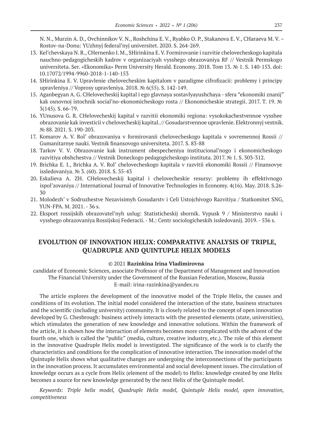N. N., Murzin A. D., Ovchinnikov V. N., Roshchina E. V., Ryabko O. P., Stakanova E. V., CHaraeva M. V. – Rostov-na-Donu: YUzhnyj federal'nyj universitet. 2020. S. 264-269.

- 13. Kel'chevskaya N. R., CHernenko I. M., SHirinkina E. V. Formirovanie i razvitie chelovecheskogo kapitala nauchno-pedagogicheskih kadrov v organizaciyah vysshego obrazovaniya RF // Vestnik Permskogo universiteta. Ser. «Ekonomika» Perm University Herald. Economy. 2018. Tom 13. № 1. S. 140-153. doi: 10.17072/1994-9960-2018-1-140-153
- 14. SHirinkina E. V. Upravlenie chelovecheskim kapitalom v paradigme cifrofizacii: problemy i principy upravleniya // Voprosy upravleniya. 2018. № 6(55). S. 142-149.
- 15. Aganbegyan A. G. CHelovecheskij kapital i ego glavnaya sostavlyayushchaya sfera "ekonomiki znanij" kak osnovnoj istochnik social'no-ekonomicheskogo rosta // Ekonomicheskie strategii. 2017. T. 19. № 3(145). S. 66-79.
- 16. YUnusova G. R. CHelovecheskij kapital v razvitii ekonomiki regiona: vysokokachestvennoe vysshee obrazovanie kak investicii v chelovecheskij kapital. // Gosudarstvennoe upravlenie. Elektronnyj vestnik. № 88. 2021. S. 190-203.
- 17. Komarov A. V. Rol' obrazovaniya v formirovanii chelovecheskogo kapitala v sovremennoj Rossii // Gumanitarnye nauki. Vestnik finansovogo universiteta. 2017. S. 83-88
- 18. Tarkov V. V. Obrazovanie kak instrument obespecheniya institucional'nogo i ekonomicheskogo razvitiya obshchestva // Vestnik Doneckogo pedagogicheskogo instituta. 2017. № 1. S. 303-312.
- 19. Brichka E. I., Brichka A. V. Rol' chelovecheskogo kapitala v razvitii ekonomiki Rossii // Finansovye issledovaniya. № 3. (60). 2018. S. 35-43
- 20. Eskalieva A. ZH. CHelovecheskij kapital i chelovecheskie resursy: problemy ih effektivnogo ispol'zovaniya // International Journal of Innovative Technologies in Economy. 4(16). May. 2018. S.26- 30
- 21. Molodezh' v Sodruzhestve Nezavisimyh Gosudarstv i Celi Ustojchivogo Razvitiya / Statkomitet SNG, YUN-FPA. M. 2021. - 36 s.
- 22. Eksport rossijskih obrazovatel'nyh uslug: Statisticheskij sbornik. Vypusk 9 / Ministerstvo nauki i vysshego obrazovaniya Rossijskoj Federacii. - M.: Centr sociologicheskih issledovanij. 2019. - 536 s.

# **EVOLUTION OF INNOVATION HELIX: COMPARATIVE ANALYSIS OF TRIPLE, QUADRUPLE AND QUINTUPLE HELIX MODELS**

#### © 2021 **Razinkina Irina Vladimirovna**

candidate of Economic Sciences, associate Professor of the Department of Management and Innovation The Financial University under the Government of the Russian Federation, Moscow, Russia E-mail: irina-razinkina@yandex.ru

The article explores the development of the innovative model of the Triple Helix, the causes and conditions of its evolution. The initial model considered the interaction of the state, business structures and the scientific (including university) community. It is closely related to the concept of open innovation developed by G. Chesbrough: business actively interacts with the presented elements (state, universities), which stimulates the generation of new knowledge and innovative solutions. Within the framework of the article, it is shown how the interaction of elements becomes more complicated with the advent of the fourth one, which is called the "public" (media, culture, creative industry, etc.). The role of this element in the innovative Quadruple Helix model is investigated. The significance of the work is to clarify the characteristics and conditions for the complication of innovative interaction. The innovation model of the Quintuple Helix shows what qualitative changes are undergoing the interconnections of the participants in the innovation process. It accumulates environmental and social development issues. The circulation of knowledge occurs as a cycle from Helix (element of the model) to Helix: knowledge created by one Helix becomes a source for new knowledge generated by the next Helix of the Quintuple model.

*Keywords: Triple helix model, Quadruple Helix model, Quintuple Helix model, оpen innovation, competitiveness*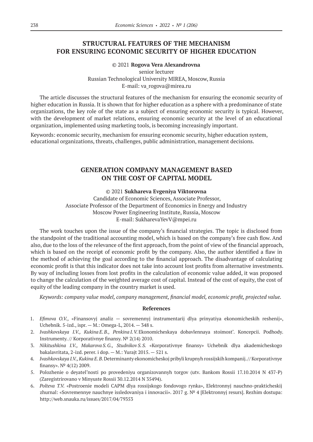# **STRUCTURAL FEATURES OF THE MECHANISM FOR ENSURING ECONOMIC SECURITY OF HIGHER EDUCATION**

### © 2021 **Rogova Vera Alexandrovna** senior lecturer Russian Technological University MIREA, Moscow, Russia E-mail: va\_rogova@mirea.ru

The article discusses the structural features of the mechanism for ensuring the economic security of higher education in Russia. It is shown that for higher education as a sphere with a predominance of state organizations, the key role of the state as a subject of ensuring economic security is typical. However, with the development of market relations, ensuring economic security at the level of an educational organization, implemented using marketing tools, is becoming increasingly important.

Keywords: economic security, mechanism for ensuring economic security, higher education system, educational organizations, threats, challenges, public administration, management decisions.

# **GENERATION COMPANY MANAGEMENT BASED ON THE COST OF CAPITAL MODEL**

### © 2021 **Sukhareva Evgeniya Viktorovna**

Candidate of Economic Sciences, Associate Professor, Associate Professor of the Department of Economics in Energy and Industry Moscow Power Engineering Institute, Russia, Moscow E-mail: SukharevaYevV@mpei.ru

The work touches upon the issue of the company's financial strategies. The topic is disclosed from the standpoint of the traditional accounting model, which is based on the company's free cash flow. And also, due to the loss of the relevance of the first approach, from the point of view of the financial approach, which is based on the receipt of economic profit by the company. Also, the author identified a flaw in the method of achieving the goal according to the financial approach. The disadvantage of calculating economic profit is that this indicator does not take into account lost profits from alternative investments. By way of including losses from lost profits in the calculation of economic value added, it was proposed to change the calculation of the weighted average cost of capital. Instead of the cost of equity, the cost of equity of the leading company in the country market is used.

*Keywords: company value model, company management, financial model, economic profit, projected value.*

- 1. *Efimova O.V.,* «Finansovyj analiz sovremennyj instrumentarij dlya prinyatiya ekonomicheskih reshenij», Uchebnik. 5‑izd., ispr. — M.: Omega-L, 2014. — 348 s.
- 2. *Ivashkovskaya I.V., Kukina E.B., Penkina I.V.*Ekonomicheskaya dobavlennaya stoimost'. Koncepcii. Podhody. Instrumenty. // Korporativnye finansy. № 2(14) 2010.
- 3. *Nikitushkina I.V., Makarova S.G., Studnikov S.S.* «Korporativnye finansy» Uchebnik dlya akademicheskogo bakalavritata, 2‑izd. perer. i dop. — M.: Yurajt 2015. — 521 s.
- 4. *Ivashkovskaya I.V., Kukina E.B.*Determinanty ekonomicheskoj pribyli krupnyh rossijskih kompanij. // Korporativnye finansy».  $N^{\circ}$  4(12) 2009.
- 5. Polozhenie o deyatel'nosti po provedeniyu organizovannyh torgov (utv. Bankom Rossii 17.10.2014 N 437-P) (Zaregistrirovano v Minyuste Rossii 30.12.2014 N 35494).
- 6. *Polteva T.V.* «Postroenie modeli CAPM dlya rossijskogo fondovogo rynka», Elektronnyj nauchno-prakticheskij zhurnal: «Sovremennye nauchnye issledovaniya i innovacii». 2017 g. № 4 [Elektronnyj resurs]. Rezhim dostupa: http://web.snauka.ru/issues/2017/04/79353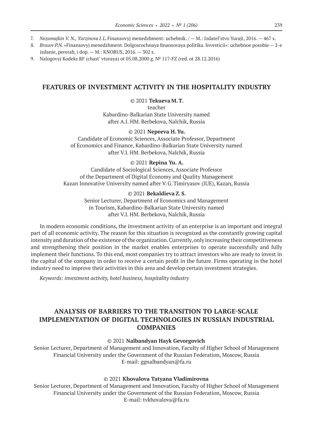- 7. *Nezamajkin V. N., Yurzinova I.L.*Finansovyj menedzhment: uchebnik. / M.: Izdatel'stvo Yurajt, 2016. 467 s.
- 8. *Brusov P.N.* «Finansovyj menedzhment. Dolgosrochnaya finansovaya politika. Investicii»: uchebnoe posobie 2‑e izdanie, pererab, i dop. — M.: KNORUS, 2016. — 302 s.
- 9. Nalogovyj Kodeks RF (chast' vtoraya) ot  $05.08.2000$  g.  $N^{\circ}$  117-FZ (red. ot 28.12.2016)

### **FEATURES OF INVESTMENT ACTIVITY IN THE HOSPITALITY INDUSTRY**

© 2021 **Tekueva M.T.** teacher Kabardino-Balkarian State University named after A.I. HM. Berbekova, Nalchik, Russia

### © 2021 **Nepeeva H.Yu.**

Candidate of Economic Sciences, Associate Professor, Department of Economics and Finance, Kabardino-Balkarian State University named after V.I. HM. Berbekova, Nalchik, Russia

#### © 2021 **Repina Yu. A.**

Candidate of Sociological Sciences, Associate Professor of the Department of Digital Economy and Quality Management Kazan Innovative University named after V.G.Timiryasov (IUE), Kazan, Russia

### © 2021 **Bekaldieva Z.S.**

Senior Lecturer, Department of Economics and Management in Tourism, Kabardino-Balkarian State University named after V.I. HM. Berbekova, Nalchik, Russia

In modern economic conditions, the investment activity of an enterprise is an important and integral part of all economic activity. The reason for this situation is recognized as the constantly growing capital intensity and duration of the existence of the organization. Currently, only increasing their competitiveness and strengthening their position in the market enables enterprises to operate successfully and fully implement their functions. To this end, most companies try to attract investors who are ready to invest in the capital of the company in order to receive a certain profit in the future. Firms operating in the hotel industry need to improve their activities in this area and develop certain investment strategies.

*Keywords: investment activity, hotel business, hospitality industry*

# **ANALYSIS OF BARRIERS TO THE TRANSITION TO LARGE-SCALE IMPLEMENTATION OF DIGITAL TECHNOLOGIES IN RUSSIAN INDUSTRIAL COMPANIES**

#### © 2021 **Nalbandyan Hayk Gevorgovich**

Senior Lecturer, Department of Management and Innovation, Faculty of Higher School of Management Financial University under the Government of the Russian Federation, Moscow, Russia E-mail: ggnalbandyan@fa.ru

#### © 2021 **Khovalova Tatyana Vladimirovna**

Senior Lecturer, Department of Management and Innovation, Faculty of Higher School of Management Financial University under the Government of the Russian Federation, Moscow, Russia E-mail: tvkhovalova@fa.ru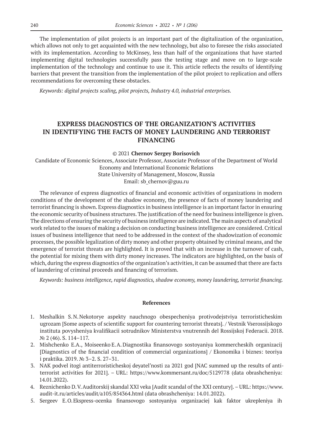The implementation of pilot projects is an important part of the digitalization of the organization, which allows not only to get acquainted with the new technology, but also to foresee the risks associated with its implementation. According to McKinsey, less than half of the organizations that have started implementing digital technologies successfully pass the testing stage and move on to large-scale implementation of the technology and continue to use it. This article reflects the results of identifying barriers that prevent the transition from the implementation of the pilot project to replication and offers recommendations for overcoming these obstacles.

*Keywords: digital projects scaling, pilot projects, Industry 4.0, industrial enterprises.*

# **EXPRESS DIAGNOSTICS OF THE ORGANIZATION'S ACTIVITIES IN IDENTIFYING THE FACTS OF MONEY LAUNDERING AND TERRORIST FINANCING**

© 2021 **Chernov Sergey Borisovich**

Candidate of Economic Sciences, Associate Professor, Associate Professor of the Department of World Economy and International Economic Relations State University of Management, Moscow, Russia Email: sb\_chernov@guu.ru

The relevance of express diagnostics of financial and economic activities of organizations in modern conditions of the development of the shadow economy, the presence of facts of money laundering and terrorist financing is shown. Express diagnostics in business intelligence is an important factor in ensuring the economic security of business structures. The justification of the need for business intelligence is given. The directions of ensuring the security of business intelligence are indicated. The main aspects of analytical work related to the issues of making a decision on conducting business intelligence are considered. Critical issues of business intelligence that need to be addressed in the context of the shadowization of economic processes, the possible legalization of dirty money and other property obtained by criminal means, and the emergence of terrorist threats are highlighted. It is proved that with an increase in the turnover of cash, the potential for mixing them with dirty money increases. The indicators are highlighted, on the basis of which, during the express diagnostics of the organization's activities, it can be assumed that there are facts of laundering of criminal proceeds and financing of terrorism.

*Keywords: business intelligence, rapid diagnostics, shadow economy, money laundering, terrorist financing.*

- 1. Meshalkin S.N.Nekotorye aspekty nauchnogo obespecheniya protivodejstviya terroristicheskim ugrozam [Some aspects of scientific support for countering terrorist threats]. / Vestnik Vserossijskogo instituta povysheniya kvalifikacii sotrudnikov Ministerstva vnutrennih del Rossijskoj Federacii. 2018. № 2 (46). S. 114–117.
- 2. Mishchenko E.A., Moiseenko E.A.Diagnostika finansovogo sostoyaniya kommercheskih organizacij [Diagnostics of the financial condition of commercial organizations] / Ekonomika i biznes: teoriya i praktika. 2019. № 3–2. S. 27–31.
- 3. NAK podvel itogi antiterroristicheskoj deyatel'nosti za 2021 god [NAC summed up the results of antiterrorist activities for 2021]. – URL: https://www.kommersant.ru/doc/5129778 (data obrashcheniya: 14.01.2022).
- 4. Reznichenko D.V.Auditorskij skandal XXI veka [Audit scandal of the XXI century]. –URL: https://www. audit-it.ru/articles/audit/a105/854364.html (data obrashcheniya: 14.01.2022).
- 5. Sergeev E.O.Ekspress-ocenka finansovogo sostoyaniya organizaciej kak faktor ukrepleniya ih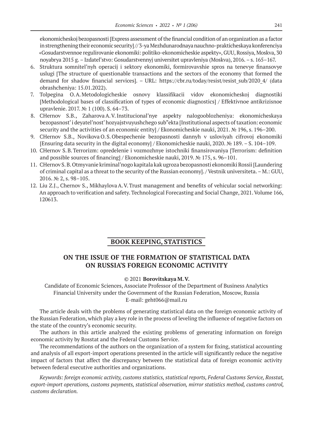ekonomicheskoj bezopasnosti [Express assessment of the financial condition of an organization as a factor in strengthening their economic security] // 3‑ya Mezhdunarodnaya nauchno-prakticheskaya konferenciya «Gosudarstvennoe regulirovanie ekonomiki: politiko-ekonomicheskie aspekty», GUU, Rossiya, Moskva, 30 noyabrya 2015 g.–Izdatel'stvo: Gosudarstvennyj universitet upravleniya (Moskva), 2016.–s. 165–167.

- 6. Struktura somnitel'nyh operacij i sektory ekonomiki, formirovavshie spros na tenevye finansovye uslugi [The structure of questionable transactions and the sectors of the economy that formed the demand for shadow financial services]. – URL: https://cbr.ru/today/resist/resist\_sub/2020\_4/ (data obrashcheniya: 15.01.2022).
- 7. Tolpegina O.A.Metodologicheskie osnovy klassifikacii vidov ekonomicheskoj diagnostiki [Methodological bases of classification of types of economic diagnostics] / Effektivnoe antikrizisnoe upravlenie. 2017. № 1 (100). S. 64–73.
- 8. CHernov S.B., ZaharovaA.V.Institucional'nye aspekty nalogooblozheniya: ekonomicheskaya bezopasnost' i deyatel'nost' hozyajstvuyushchego sub"ekta [Institutional aspects of taxation: economic security and the activities of an economic entity] / Ekonomicheskie nauki, 2021. № 196, s. 196–200.
- 9. CHernov S.B., Novikova O.S.Obespechenie bezopasnosti dannyh v usloviyah cifrovoj ekonomiki [Ensuring data security in the digital economy] / Ekonomicheskie nauki, 2020. № 189. – S. 104–109.
- 10. CHernov S.B.Terrorizm: opredelenie i vozmozhnye istochniki finansirovaniya [Terrorism: definition and possible sources of financing] / Ekonomicheskie nauki, 2019. № 175, s. 96–101.
- 11. CHernov S.B.Otmyvanie kriminal'nogo kapitala kak ugroza bezopasnosti ekonomiki Rossii [Laundering of criminal capital as a threat to the security of the Russian economy]. / Vestnik universiteta.– M.: GUU, 2016. № 2, s. 98–105.
- 12. Liu Z.J., Chernov S., MikhaylovaA.V.Trust management and benefits of vehicular social networking: An approach to verification and safety. Technological Forecasting and Social Change, 2021. Volume 166, 120613.

### **BOOK KEEPING, STATISTICS**

# **ON THE ISSUE OF THE FORMATION OF STATISTICAL DATA ON RUSSIA'S FOREIGN ECONOMIC ACTIVITY**

### © 2021 **Borovitskaya M.V.**

Candidate of Economic Sciences, Associate Professor of the Department of Business Analytics Financial University under the Government of the Russian Federation, Moscow, Russia E-mail: geht066@mail.ru

The article deals with the problems of generating statistical data on the foreign economic activity of the Russian Federation, which play a key role in the process of leveling the influence of negative factors on the state of the country's economic security.

The authors in this article analyzed the existing problems of generating information on foreign economic activity by Rosstat and the Federal Customs Service.

The recommendations of the authors on the organization of a system for fixing, statistical accounting and analysis of all export-import operations presented in the article will significantly reduce the negative impact of factors that affect the discrepancy between the statistical data of foreign economic activity between federal executive authorities and organizations.

*Keywords: foreign economic activity, customs statistics, statistical reports, Federal Customs Service, Rosstat, export-import operations, customs payments, statistical observation, mirror statistics method, customs control, customs declaration.*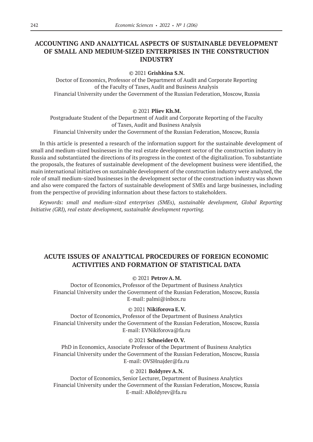# **ACCOUNTING AND ANALYTICAL ASPECTS OF SUSTAINABLE DEVELOPMENT OF SMALL AND MEDIUM-SIZED ENTERPRISES IN THE CONSTRUCTION INDUSTRY**

© 2021 **Grishkina S.N.**

Doctor of Economics, Professor of the Department of Audit and Corporate Reporting of the Faculty of Taxes, Audit and Business Analysis Financial University under the Government of the Russian Federation, Moscow, Russia

#### © 2021 **Pliev Kh.M.**

Postgraduate Student of the Department of Audit and Corporate Reporting of the Faculty of Taxes, Audit and Business Analysis Financial University under the Government of the Russian Federation, Moscow, Russia

In this article is presented a research of the information support for the sustainable development of small and medium-sized businesses in the real estate development sector of the construction industry in Russia and substantiated the directions of its progress in the context of the digitalization. To substantiate the proposals, the features of sustainable development of the development business were identified, the main international initiatives on sustainable development of the construction industry were analyzed, the role of small medium-sized businesses in the development sector of the construction industry was shown and also were compared the factors of sustainable development of SMEs and large businesses, including from the perspective of providing information about these factors to stakeholders.

*Keywords: small and medium-sized enterprises (SMEs), sustainable development, Global Reporting Initiative (GRI), real estate development, sustainable development reporting.*

# **ACUTE ISSUES OF ANALYTICAL PROCEDURES OF FOREIGN ECONOMIC ACTIVITIES AND FORMATION OF STATISTICAL DATA**

### © 2021 **Petrov A.M.**

Doctor of Economics, Professor of the Department of Business Analytics Financial University under the Government of the Russian Federation, Moscow, Russia E-mail: palmi@inbox.ru

### © 2021 **Nikiforova E.V.**

Doctor of Economics, Professor of the Department of Business Analytics Financial University under the Government of the Russian Federation, Moscow, Russia E-mail: EVNikiforova@fa.ru

#### © 2021 **Schneider O.V.**

PhD in Economics, Associate Professor of the Department of Business Analytics Financial University under the Government of the Russian Federation, Moscow, Russia E-mail: OVSHnajder@fa.ru

#### © 2021 **Boldyrev A.N.**

Doctor of Economics, Senior Lecturer, Department of Business Analytics Financial University under the Government of the Russian Federation, Moscow, Russia E-mail: ABoldyrev@fa.ru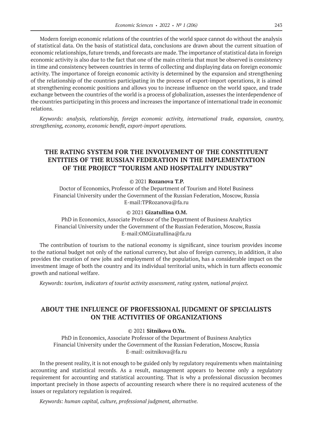Modern foreign economic relations of the countries of the world space cannot do without the analysis of statistical data. On the basis of statistical data, conclusions are drawn about the current situation of economic relationships, future trends, and forecasts are made. The importance of statistical data in foreign economic activity is also due to the fact that one of the main criteria that must be observed is consistency in time and consistency between countries in terms of collecting and displaying data on foreign economic activity. The importance of foreign economic activity is determined by the expansion and strengthening of the relationship of the countries participating in the process of export-import operations, it is aimed at strengthening economic positions and allows you to increase influence on the world space, and trade exchange between the countries of the world is a process of globalization, assesses the interdependence of the countries participating in this process and increases the importance of international trade in economic relations.

*Keywords: analysis, relationship, foreign economic activity, international trade, expansion, country, strengthening, economy, economic benefit, export-import operations.*

# **THE RATING SYSTEM FOR THE INVOLVEMENT OF THE CONSTITUENT ENTITIES OF THE RUSSIAN FEDERATION IN THE IMPLEMENTATION OF THE PROJECT "TOURISM AND HOSPITALITY INDUSTRY"**

© 2021 **Rozanova T.P.**

Doctor of Economics, Professor of the Department of Tourism and Hotel Business Financial University under the Government of the Russian Federation, Moscow, Russia E-mail:TPRozanova@fa.ru

#### © 2021 **Gizatullina O.M.**

PhD in Economics, Associate Professor of the Department of Business Analytics Financial University under the Government of the Russian Federation, Moscow, Russia E-mail:OMGizatullina@fa.ru

The contribution of tourism to the national economy is significant, since tourism provides income to the national budget not only of the national currency, but also of foreign currency, in addition, it also provides the creation of new jobs and employment of the population, has a considerable impact on the investment image of both the country and its individual territorial units, which in turn affects economic growth and national welfare.

*Keywords: tourism, indicators of tourist activity assessment, rating system, national project.*

### **ABOUT THE INFLUENCE OF PROFESSIONAL JUDGMENT OF SPECIALISTS ON THE ACTIVITIES OF ORGANIZATIONS**

#### © 2021 **Sitnikova O.Yu.**

PhD in Economics, Associate Professor of the Department of Business Analytics Financial University under the Government of the Russian Federation, Moscow, Russia E-mail: ositnikova@fa.ru

In the present reality, it is not enough to be guided only by regulatory requirements when maintaining accounting and statistical records. As a result, management appears to become only a regulatory requirement for accounting and statistical accounting. That is why a professional discussion becomes important precisely in those aspects of accounting research where there is no required acuteness of the issues or regulatory regulation is required.

*Keywords: human capital, culture, professional judgment, alternative.*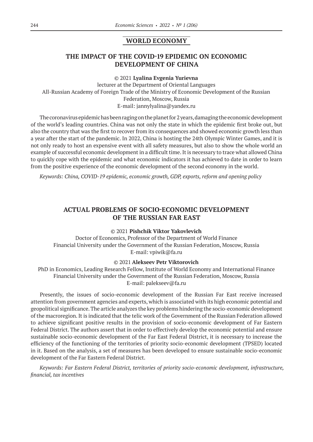### **WORLD ECONOMY**

# **THE IMPACT OF THE COVID-19 EPIDEMIC ON ECONOMIC DEVELOPMENT OF CHINA**

© 2021 **Lyalina Evgenia Yurievna**

lecturer at the Department of Oriental Languages All-Russian Academy of Foreign Trade of the Ministry of Economic Development of the Russian Federation, Moscow, Russia E-mail: jannylyalina@yandex.ru

The coronavirus epidemic has been raging on the planet for 2 years, damaging the economic development of the world's leading countries. China was not only the state in which the epidemic first broke out, but also the country that was the first to recover from its consequences and showed economic growth less than a year after the start of the pandemic. In 2022, China is hosting the 24th Olympic Winter Games, and it is not only ready to host an expensive event with all safety measures, but also to show the whole world an example of successful economic development in a difficult time. It is necessary to trace what allowed China to quickly cope with the epidemic and what economic indicators it has achieved to date in order to learn from the positive experience of the economic development of the second economy in the world.

*Keywords: China, COVID-19 epidemic, economic growth, GDP, exports, reform and opening policy*

# **ACTUAL PROBLEMS OF SOCIO-ECONOMIC DEVELOPMENT OF THE RUSSIAN FAR EAST**

#### © 2021 **Pishchik Viktor Yakovlevich**

Doctor of Economics, Professor of the Department of World Finance Financial University under the Government of the Russian Federation, Moscow, Russia E-mail: vpiwik@fa.ru

### © 2021 **Alekseev Petr Viktorovich**

PhD in Economics, Leading Research Fellow, Institute of World Economy and International Finance Financial University under the Government of the Russian Federation, Moscow, Russia E-mail: palekseev@fa.ru

Presently, the issues of socio-economic development of the Russian Far East receive increased attention from government agencies and experts, which is associated with its high economic potential and geopolitical significance. The article analyzes the key problems hindering the socio-economic development of the macroregion. It is indicated that the telic work of the Government of the Russian Federation allowed to achieve significant positive results in the provision of socio-economic development of Far Eastern Federal District. The authors assert that in order to effectively develop the economic potential and ensure sustainable socio-economic development of the Far East Federal District, it is necessary to increase the efficiency of the functioning of the territories of priority socio-economic development (TPSED) located in it. Based on the analysis, a set of measures has been developed to ensure sustainable socio-economic development of the Far Eastern Federal District.

*Keywords: Far Eastern Federal District, territories of priority socio-economic development, infrastructure, financial, tax incentives*